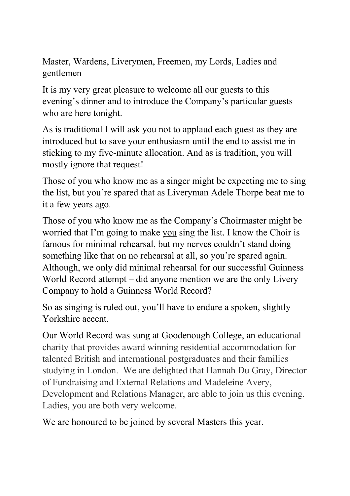Master, Wardens, Liverymen, Freemen, my Lords, Ladies and gentlemen

It is my very great pleasure to welcome all our guests to this evening's dinner and to introduce the Company's particular guests who are here tonight.

As is traditional I will ask you not to applaud each guest as they are introduced but to save your enthusiasm until the end to assist me in sticking to my five-minute allocation. And as is tradition, you will mostly ignore that request!

Those of you who know me as a singer might be expecting me to sing the list, but you're spared that as Liveryman Adele Thorpe beat me to it a few years ago.

Those of you who know me as the Company's Choirmaster might be worried that I'm going to make you sing the list. I know the Choir is famous for minimal rehearsal, but my nerves couldn't stand doing something like that on no rehearsal at all, so you're spared again. Although, we only did minimal rehearsal for our successful Guinness World Record attempt – did anyone mention we are the only Livery Company to hold a Guinness World Record?

So as singing is ruled out, you'll have to endure a spoken, slightly Yorkshire accent.

Our World Record was sung at Goodenough College, an educational charity that provides award winning residential accommodation for talented British and international postgraduates and their families studying in London. We are delighted that Hannah Du Gray, Director of Fundraising and External Relations and Madeleine Avery, Development and Relations Manager, are able to join us this evening. Ladies, you are both very welcome.

We are honoured to be joined by several Masters this year.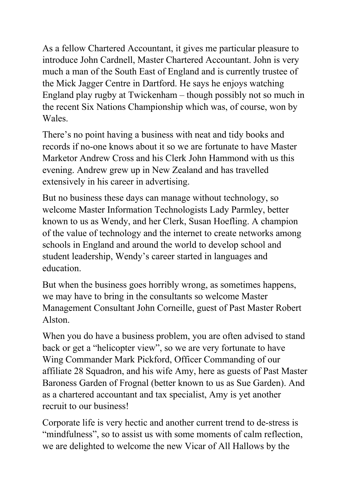As a fellow Chartered Accountant, it gives me particular pleasure to introduce John Cardnell, Master Chartered Accountant. John is very much a man of the South East of England and is currently trustee of the Mick Jagger Centre in Dartford. He says he enjoys watching England play rugby at Twickenham – though possibly not so much in the recent Six Nations Championship which was, of course, won by Wales.

There's no point having a business with neat and tidy books and records if no-one knows about it so we are fortunate to have Master Marketor Andrew Cross and his Clerk John Hammond with us this evening. Andrew grew up in New Zealand and has travelled extensively in his career in advertising.

But no business these days can manage without technology, so welcome Master Information Technologists Lady Parmley, better known to us as Wendy, and her Clerk, Susan Hoefling. A champion of the value of technology and the internet to create networks among schools in England and around the world to develop school and student leadership, Wendy's career started in languages and education.

But when the business goes horribly wrong, as sometimes happens, we may have to bring in the consultants so welcome Master Management Consultant John Corneille, guest of Past Master Robert Alston.

When you do have a business problem, you are often advised to stand back or get a "helicopter view", so we are very fortunate to have Wing Commander Mark Pickford, Officer Commanding of our affiliate 28 Squadron, and his wife Amy, here as guests of Past Master Baroness Garden of Frognal (better known to us as Sue Garden). And as a chartered accountant and tax specialist, Amy is yet another recruit to our business!

Corporate life is very hectic and another current trend to de-stress is "mindfulness", so to assist us with some moments of calm reflection, we are delighted to welcome the new Vicar of All Hallows by the